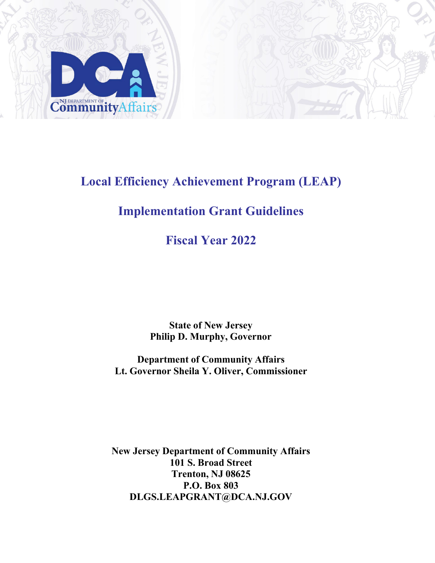

# **Local Efficiency Achievement Program (LEAP)**

# **Implementation Grant Guidelines**

**Fiscal Year 2022**

**State of New Jersey Philip D. Murphy, Governor**

**Department of Community Affairs Lt. Governor Sheila Y. Oliver, Commissioner**

**New Jersey Department of Community Affairs 101 S. Broad Street Trenton, NJ 08625 P.O. Box 803 [DLGS.LEAPGRANT@DCA.NJ.GOV](mailto:DLGS.LEAPGRANT@DCA.NJ.GOV)**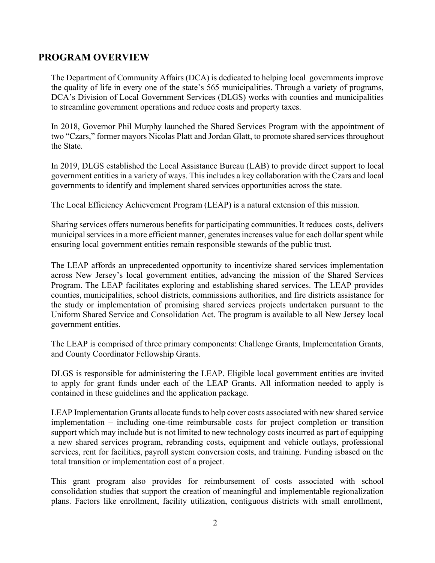## **PROGRAM OVERVIEW**

The Department of Community Affairs (DCA) is dedicated to helping local governments improve the quality of life in every one of the state's 565 municipalities. Through a variety of programs, DCA's Division of Local Government Services (DLGS) works with counties and municipalities to streamline government operations and reduce costs and property taxes.

In 2018, Governor Phil Murphy launched the Shared Services Program with the appointment of two "Czars," former mayors Nicolas Platt and Jordan Glatt, to promote shared services throughout the State.

In 2019, DLGS established the Local Assistance Bureau (LAB) to provide direct support to local government entities in a variety of ways. This includes a key collaboration with the Czars and local governments to identify and implement shared services opportunities across the state.

The Local Efficiency Achievement Program (LEAP) is a natural extension of this mission.

Sharing services offers numerous benefits for participating communities. It reduces costs, delivers municipal services in a more efficient manner, generates increases value for each dollar spent while ensuring local government entities remain responsible stewards of the public trust.

The LEAP affords an unprecedented opportunity to incentivize shared services implementation across New Jersey's local government entities, advancing the mission of the Shared Services Program. The LEAP facilitates exploring and establishing shared services. The LEAP provides counties, municipalities, school districts, commissions authorities, and fire districts assistance for the study or implementation of promising shared services projects undertaken pursuant to the Uniform Shared Service and Consolidation Act. The program is available to all New Jersey local government entities.

The LEAP is comprised of three primary components: Challenge Grants, Implementation Grants, and County Coordinator Fellowship Grants.

DLGS is responsible for administering the LEAP. Eligible local government entities are invited to apply for grant funds under each of the LEAP Grants. All information needed to apply is contained in these guidelines and the application package.

LEAP Implementation Grants allocate funds to help cover costs associated with new shared service implementation – including one-time reimbursable costs for project completion or transition support which may include but is not limited to new technology costs incurred as part of equipping a new shared services program, rebranding costs, equipment and vehicle outlays, professional services, rent for facilities, payroll system conversion costs, and training. Funding isbased on the total transition or implementation cost of a project.

This grant program also provides for reimbursement of costs associated with school consolidation studies that support the creation of meaningful and implementable regionalization plans. Factors like enrollment, facility utilization, contiguous districts with small enrollment,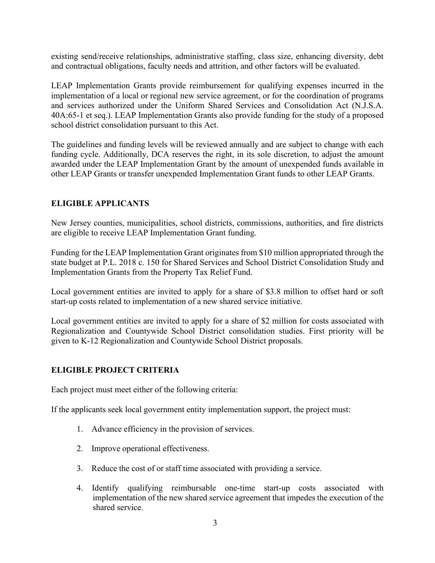existing send/receive relationships, administrative staffing, class size, enhancing diversity, debt and contractual obligations, faculty needs and attrition, and other factors will be evaluated.

LEAP Implementation Grants provide reimbursement for qualifying expenses incurred in the implementation of a local or regional new service agreement, or for the coordination of programs and services authorized under the Uniform Shared Services and Consolidation Act (N.J.S.A. 40A:65-1 et seq.). LEAP Implementation Grants also provide funding for the study of a proposed school district consolidation pursuant to this Act.

The guidelines and funding levels will be reviewed annually and are subject to change with each funding cycle. Additionally, DCA reserves the right, in its sole discretion, to adjust the amount awarded under the LEAP Implementation Grant by the amount of unexpended funds available in other LEAP Grants or transfer unexpended Implementation Grant funds to other LEAP Grants.

### **ELIGIBLE APPLICANTS**

New Jersey counties, municipalities, school districts, commissions, authorities, and fire districts are eligible to receive LEAP Implementation Grant funding.

Funding for the LEAP Implementation Grant originates from \$10 million appropriated through the state budget at P.L. 2018 c. 150 for Shared Services and School District Consolidation Study and Implementation Grants from the Property Tax Relief Fund.

Local government entities are invited to apply for a share of \$3.8 million to offset hard or soft start-up costs related to implementation of a new shared service initiative.

Local government entities are invited to apply for a share of \$2 million for costs associated with Regionalization and Countywide School District consolidation studies. First priority will be given to K-12 Regionalization and Countywide School District proposals.

### **ELIGIBLE PROJECT CRITERIA**

Each project must meet either of the following criteria:

If the applicants seek local government entity implementation support, the project must:

- 1. Advance efficiency in the provision of services.
- 2. Improve operational effectiveness.
- 3. Reduce the cost of or staff time associated with providing a service.
- 4. Identify qualifying reimbursable one-time start-up costs associated with implementation of the new shared service agreement that impedes the execution of the shared service.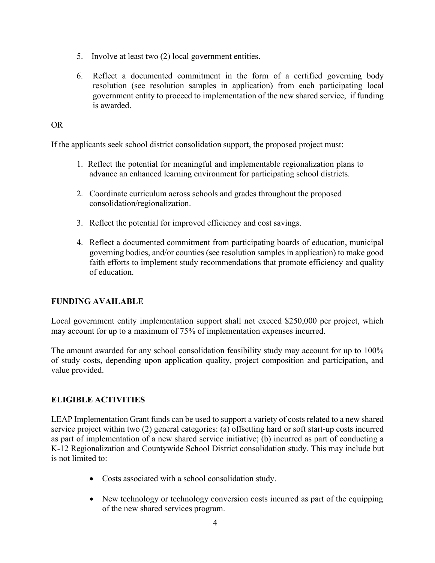- 5. Involve at least two (2) local government entities.
- 6. Reflect a documented commitment in the form of a certified governing body resolution (see resolution samples in application) from each participating local government entity to proceed to implementation of the new shared service, if funding is awarded.

#### OR

If the applicants seek school district consolidation support, the proposed project must:

- 1. Reflect the potential for meaningful and implementable regionalization plans to advance an enhanced learning environment for participating school districts.
- 2. Coordinate curriculum across schools and grades throughout the proposed consolidation/regionalization.
- 3. Reflect the potential for improved efficiency and cost savings.
- 4. Reflect a documented commitment from participating boards of education, municipal governing bodies, and/or counties (see resolution samples in application) to make good faith efforts to implement study recommendations that promote efficiency and quality of education.

### **FUNDING AVAILABLE**

Local government entity implementation support shall not exceed \$250,000 per project, which may account for up to a maximum of 75% of implementation expenses incurred.

The amount awarded for any school consolidation feasibility study may account for up to 100% of study costs, depending upon application quality, project composition and participation, and value provided.

#### **ELIGIBLE ACTIVITIES**

LEAP Implementation Grant funds can be used to support a variety of costs related to a new shared service project within two (2) general categories: (a) offsetting hard or soft start-up costs incurred as part of implementation of a new shared service initiative; (b) incurred as part of conducting a K-12 Regionalization and Countywide School District consolidation study. This may include but is not limited to:

- Costs associated with a school consolidation study.
- New technology or technology conversion costs incurred as part of the equipping of the new shared services program.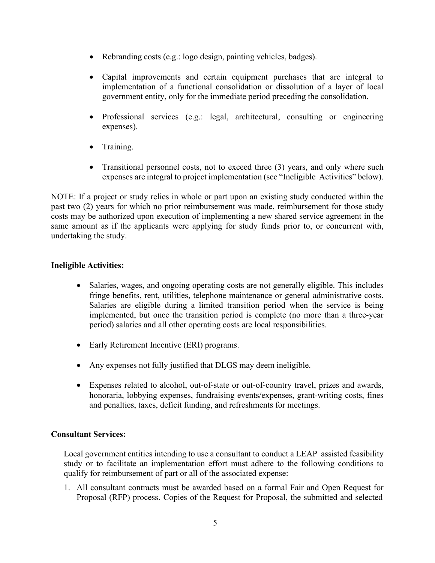- Rebranding costs (e.g.: logo design, painting vehicles, badges).
- Capital improvements and certain equipment purchases that are integral to implementation of a functional consolidation or dissolution of a layer of local government entity, only for the immediate period preceding the consolidation.
- Professional services (e.g.: legal, architectural, consulting or engineering expenses).
- Training.
- Transitional personnel costs, not to exceed three (3) years, and only where such expenses are integral to project implementation (see "Ineligible Activities" below).

NOTE: If a project or study relies in whole or part upon an existing study conducted within the past two (2) years for which no prior reimbursement was made, reimbursement for those study costs may be authorized upon execution of implementing a new shared service agreement in the same amount as if the applicants were applying for study funds prior to, or concurrent with, undertaking the study.

## **Ineligible Activities:**

- Salaries, wages, and ongoing operating costs are not generally eligible. This includes fringe benefits, rent, utilities, telephone maintenance or general administrative costs. Salaries are eligible during a limited transition period when the service is being implemented, but once the transition period is complete (no more than a three-year period) salaries and all other operating costs are local responsibilities.
- Early Retirement Incentive (ERI) programs.
- Any expenses not fully justified that DLGS may deem ineligible.
- Expenses related to alcohol, out-of-state or out-of-country travel, prizes and awards, honoraria, lobbying expenses, fundraising events/expenses, grant-writing costs, fines and penalties, taxes, deficit funding, and refreshments for meetings.

### **Consultant Services:**

Local government entities intending to use a consultant to conduct a LEAP assisted feasibility study or to facilitate an implementation effort must adhere to the following conditions to qualify for reimbursement of part or all of the associated expense:

1. All consultant contracts must be awarded based on a formal Fair and Open Request for Proposal (RFP) process. Copies of the Request for Proposal, the submitted and selected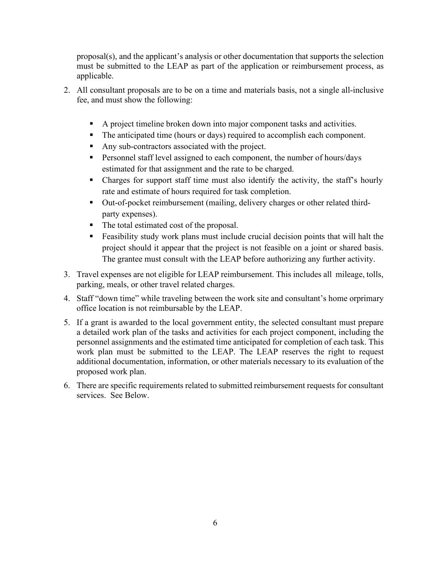proposal(s), and the applicant's analysis or other documentation that supports the selection must be submitted to the LEAP as part of the application or reimbursement process, as applicable.

- 2. All consultant proposals are to be on a time and materials basis, not a single all-inclusive fee, and must show the following:
	- A project timeline broken down into major component tasks and activities.
	- The anticipated time (hours or days) required to accomplish each component.
	- Any sub-contractors associated with the project.
	- **Personnel staff level assigned to each component, the number of hours/days** estimated for that assignment and the rate to be charged.
	- Charges for support staff time must also identify the activity, the staff's hourly rate and estimate of hours required for task completion.
	- Out-of-pocket reimbursement (mailing, delivery charges or other related thirdparty expenses).
	- The total estimated cost of the proposal.
	- Feasibility study work plans must include crucial decision points that will halt the project should it appear that the project is not feasible on a joint or shared basis. The grantee must consult with the LEAP before authorizing any further activity.
- 3. Travel expenses are not eligible for LEAP reimbursement. This includes all mileage, tolls, parking, meals, or other travel related charges.
- 4. Staff "down time" while traveling between the work site and consultant's home orprimary office location is not reimbursable by the LEAP.
- 5. If a grant is awarded to the local government entity, the selected consultant must prepare a detailed work plan of the tasks and activities for each project component, including the personnel assignments and the estimated time anticipated for completion of each task. This work plan must be submitted to the LEAP. The LEAP reserves the right to request additional documentation, information, or other materials necessary to its evaluation of the proposed work plan.
- 6. There are specific requirements related to submitted reimbursement requests for consultant services. See Below.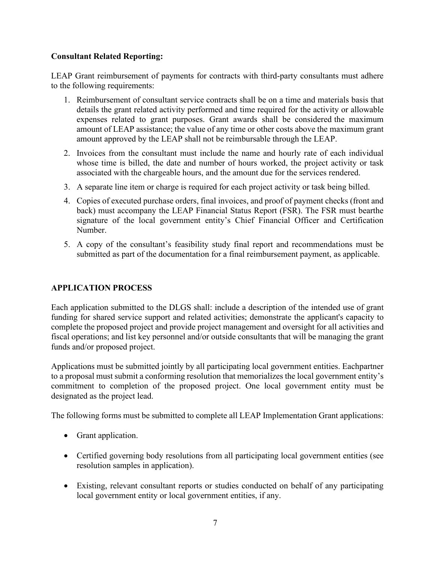## **Consultant Related Reporting:**

LEAP Grant reimbursement of payments for contracts with third-party consultants must adhere to the following requirements:

- 1. Reimbursement of consultant service contracts shall be on a time and materials basis that details the grant related activity performed and time required for the activity or allowable expenses related to grant purposes. Grant awards shall be considered the maximum amount of LEAP assistance; the value of any time or other costs above the maximum grant amount approved by the LEAP shall not be reimbursable through the LEAP.
- 2. Invoices from the consultant must include the name and hourly rate of each individual whose time is billed, the date and number of hours worked, the project activity or task associated with the chargeable hours, and the amount due for the services rendered.
- 3. A separate line item or charge is required for each project activity or task being billed.
- 4. Copies of executed purchase orders, final invoices, and proof of payment checks (front and back) must accompany the LEAP Financial Status Report (FSR). The FSR must bearthe signature of the local government entity's Chief Financial Officer and Certification Number.
- 5. A copy of the consultant's feasibility study final report and recommendations must be submitted as part of the documentation for a final reimbursement payment, as applicable.

## **APPLICATION PROCESS**

Each application submitted to the DLGS shall: include a description of the intended use of grant funding for shared service support and related activities; demonstrate the applicant's capacity to complete the proposed project and provide project management and oversight for all activities and fiscal operations; and list key personnel and/or outside consultants that will be managing the grant funds and/or proposed project.

Applications must be submitted jointly by all participating local government entities. Eachpartner to a proposal must submit a conforming resolution that memorializes the local government entity's commitment to completion of the proposed project. One local government entity must be designated as the project lead.

The following forms must be submitted to complete all LEAP Implementation Grant applications:

- Grant application.
- Certified governing body resolutions from all participating local government entities (see resolution samples in application).
- Existing, relevant consultant reports or studies conducted on behalf of any participating local government entity or local government entities, if any.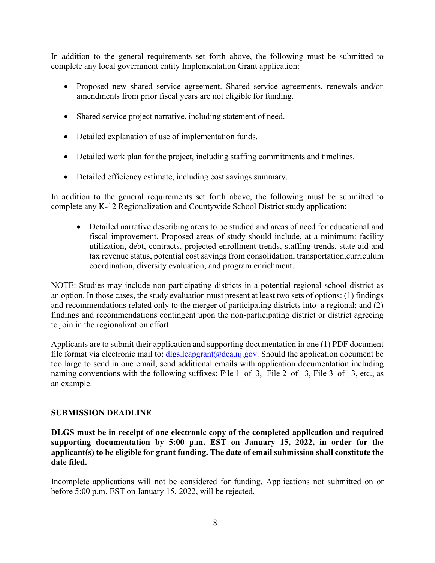In addition to the general requirements set forth above, the following must be submitted to complete any local government entity Implementation Grant application:

- Proposed new shared service agreement. Shared service agreements, renewals and/or amendments from prior fiscal years are not eligible for funding.
- Shared service project narrative, including statement of need.
- Detailed explanation of use of implementation funds.
- Detailed work plan for the project, including staffing commitments and timelines.
- Detailed efficiency estimate, including cost savings summary.

In addition to the general requirements set forth above, the following must be submitted to complete any K-12 Regionalization and Countywide School District study application:

• Detailed narrative describing areas to be studied and areas of need for educational and fiscal improvement. Proposed areas of study should include, at a minimum: facility utilization, debt, contracts, projected enrollment trends, staffing trends, state aid and tax revenue status, potential cost savings from consolidation, transportation,curriculum coordination, diversity evaluation, and program enrichment.

NOTE: Studies may include non-participating districts in a potential regional school district as an option. In those cases, the study evaluation must present at least two sets of options: (1) findings and recommendations related only to the merger of participating districts into a regional; and (2) findings and recommendations contingent upon the non-participating district or district agreeing to join in the regionalization effort.

Applicants are to submit their application and supporting documentation in one (1) PDF document file format via electronic mail to:  $dlgs.length(\omega)$  degaing  $cov$ . Should the application document be too large to send in one email, send additional emails with application documentation including naming conventions with the following suffixes: File 1 of 3, File 2 of 3, File 3 of 3, etc., as an example.

### **SUBMISSION DEADLINE**

**DLGS must be in receipt of one electronic copy of the completed application and required supporting documentation by 5:00 p.m. EST on January 15, 2022, in order for the applicant(s) to be eligible for grant funding. The date of email submission shall constitute the date filed.**

Incomplete applications will not be considered for funding. Applications not submitted on or before 5:00 p.m. EST on January 15, 2022, will be rejected.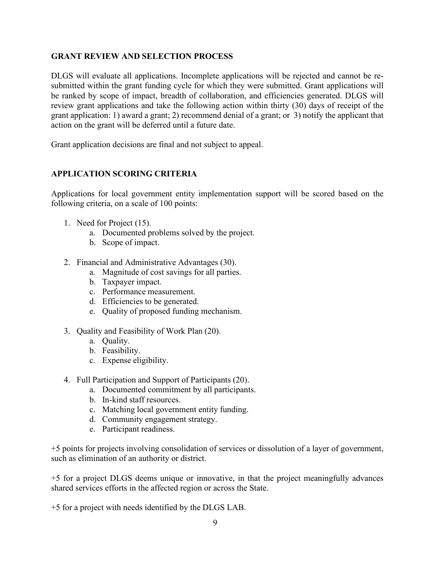#### **GRANT REVIEW AND SELECTION PROCESS**

DLGS will evaluate all applications. Incomplete applications will be rejected and cannot be resubmitted within the grant funding cycle for which they were submitted. Grant applications will be ranked by scope of impact, breadth of collaboration, and efficiencies generated. DLGS will review grant applications and take the following action within thirty (30) days of receipt of the grant application: 1) award a grant; 2) recommend denial of a grant; or 3) notify the applicant that action on the grant will be deferred until a future date.

Grant application decisions are final and not subject to appeal.

### **APPLICATION SCORING CRITERIA**

Applications for local government entity implementation support will be scored based on the following criteria, on a scale of 100 points:

- 1. Need for Project (15).
	- a. Documented problems solved by the project.
	- b. Scope of impact.
- 2. Financial and Administrative Advantages (30).
	- a. Magnitude of cost savings for all parties.
	- b. Taxpayer impact.
	- c. Performance measurement.
	- d. Efficiencies to be generated.
	- e. Quality of proposed funding mechanism.
- 3. Quality and Feasibility of Work Plan (20).
	- a. Quality.
	- b. Feasibility.
	- c. Expense eligibility.
- 4. Full Participation and Support of Participants (20).
	- a. Documented commitment by all participants.
	- b. In-kind staff resources.
	- c. Matching local government entity funding.
	- d. Community engagement strategy.
	- e. Participant readiness.

+5 points for projects involving consolidation of services or dissolution of a layer of government, such as elimination of an authority or district.

+5 for a project DLGS deems unique or innovative, in that the project meaningfully advances shared services efforts in the affected region or across the State.

+5 for a project with needs identified by the DLGS LAB.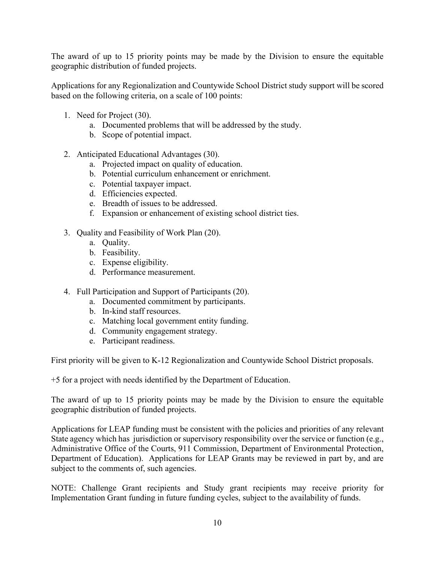The award of up to 15 priority points may be made by the Division to ensure the equitable geographic distribution of funded projects.

Applications for any Regionalization and Countywide School District study support will be scored based on the following criteria, on a scale of 100 points:

- 1. Need for Project (30).
	- a. Documented problems that will be addressed by the study.
	- b. Scope of potential impact.
- 2. Anticipated Educational Advantages (30).
	- a. Projected impact on quality of education.
	- b. Potential curriculum enhancement or enrichment.
	- c. Potential taxpayer impact.
	- d. Efficiencies expected.
	- e. Breadth of issues to be addressed.
	- f. Expansion or enhancement of existing school district ties.
- 3. Quality and Feasibility of Work Plan (20).
	- a. Quality.
	- b. Feasibility.
	- c. Expense eligibility.
	- d. Performance measurement.
- 4. Full Participation and Support of Participants (20).
	- a. Documented commitment by participants.
	- b. In-kind staff resources.
	- c. Matching local government entity funding.
	- d. Community engagement strategy.
	- e. Participant readiness.

First priority will be given to K-12 Regionalization and Countywide School District proposals.

+5 for a project with needs identified by the Department of Education.

The award of up to 15 priority points may be made by the Division to ensure the equitable geographic distribution of funded projects.

Applications for LEAP funding must be consistent with the policies and priorities of any relevant State agency which has jurisdiction or supervisory responsibility over the service or function (e.g., Administrative Office of the Courts, 911 Commission, Department of Environmental Protection, Department of Education). Applications for LEAP Grants may be reviewed in part by, and are subject to the comments of, such agencies.

NOTE: Challenge Grant recipients and Study grant recipients may receive priority for Implementation Grant funding in future funding cycles, subject to the availability of funds.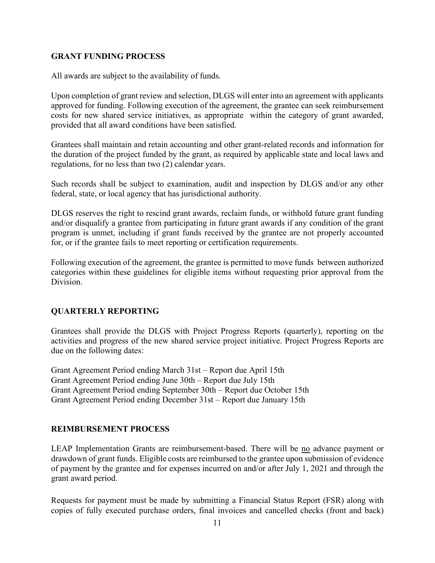#### **GRANT FUNDING PROCESS**

All awards are subject to the availability of funds.

Upon completion of grant review and selection, DLGS will enter into an agreement with applicants approved for funding. Following execution of the agreement, the grantee can seek reimbursement costs for new shared service initiatives, as appropriate within the category of grant awarded, provided that all award conditions have been satisfied.

Grantees shall maintain and retain accounting and other grant-related records and information for the duration of the project funded by the grant, as required by applicable state and local laws and regulations, for no less than two (2) calendar years.

Such records shall be subject to examination, audit and inspection by DLGS and/or any other federal, state, or local agency that has jurisdictional authority.

DLGS reserves the right to rescind grant awards, reclaim funds, or withhold future grant funding and/or disqualify a grantee from participating in future grant awards if any condition of the grant program is unmet, including if grant funds received by the grantee are not properly accounted for, or if the grantee fails to meet reporting or certification requirements.

Following execution of the agreement, the grantee is permitted to move funds between authorized categories within these guidelines for eligible items without requesting prior approval from the Division.

### **QUARTERLY REPORTING**

Grantees shall provide the DLGS with Project Progress Reports (quarterly), reporting on the activities and progress of the new shared service project initiative. Project Progress Reports are due on the following dates:

Grant Agreement Period ending March 31st – Report due April 15th Grant Agreement Period ending June 30th – Report due July 15th Grant Agreement Period ending September 30th – Report due October 15th Grant Agreement Period ending December 31st – Report due January 15th

### **REIMBURSEMENT PROCESS**

LEAP Implementation Grants are reimbursement-based. There will be no advance payment or drawdown of grant funds. Eligible costs are reimbursed to the grantee upon submission of evidence of payment by the grantee and for expenses incurred on and/or after July 1, 2021 and through the grant award period.

Requests for payment must be made by submitting a Financial Status Report (FSR) along with copies of fully executed purchase orders, final invoices and cancelled checks (front and back)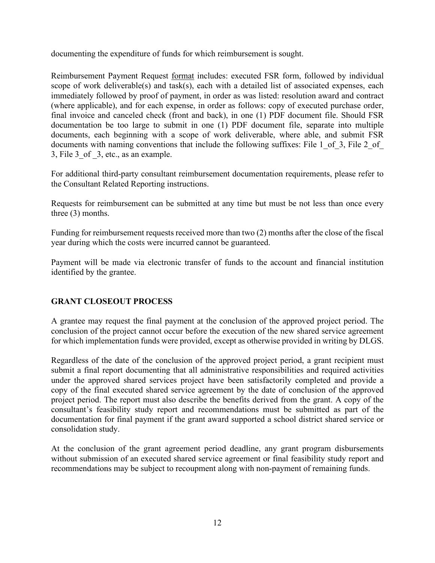documenting the expenditure of funds for which reimbursement is sought.

Reimbursement Payment Request format includes: executed FSR form, followed by individual scope of work deliverable(s) and task(s), each with a detailed list of associated expenses, each immediately followed by proof of payment, in order as was listed: resolution award and contract (where applicable), and for each expense, in order as follows: copy of executed purchase order, final invoice and canceled check (front and back), in one (1) PDF document file. Should FSR documentation be too large to submit in one (1) PDF document file, separate into multiple documents, each beginning with a scope of work deliverable, where able, and submit FSR documents with naming conventions that include the following suffixes: File 1 of 3, File 2 of 3, File 3\_of \_3, etc., as an example.

For additional third-party consultant reimbursement documentation requirements, please refer to the Consultant Related Reporting instructions.

Requests for reimbursement can be submitted at any time but must be not less than once every three (3) months.

Funding for reimbursement requests received more than two (2) months after the close of the fiscal year during which the costs were incurred cannot be guaranteed.

Payment will be made via electronic transfer of funds to the account and financial institution identified by the grantee.

### **GRANT CLOSEOUT PROCESS**

A grantee may request the final payment at the conclusion of the approved project period. The conclusion of the project cannot occur before the execution of the new shared service agreement for which implementation funds were provided, except as otherwise provided in writing by DLGS.

Regardless of the date of the conclusion of the approved project period, a grant recipient must submit a final report documenting that all administrative responsibilities and required activities under the approved shared services project have been satisfactorily completed and provide a copy of the final executed shared service agreement by the date of conclusion of the approved project period. The report must also describe the benefits derived from the grant. A copy of the consultant's feasibility study report and recommendations must be submitted as part of the documentation for final payment if the grant award supported a school district shared service or consolidation study.

At the conclusion of the grant agreement period deadline, any grant program disbursements without submission of an executed shared service agreement or final feasibility study report and recommendations may be subject to recoupment along with non-payment of remaining funds.